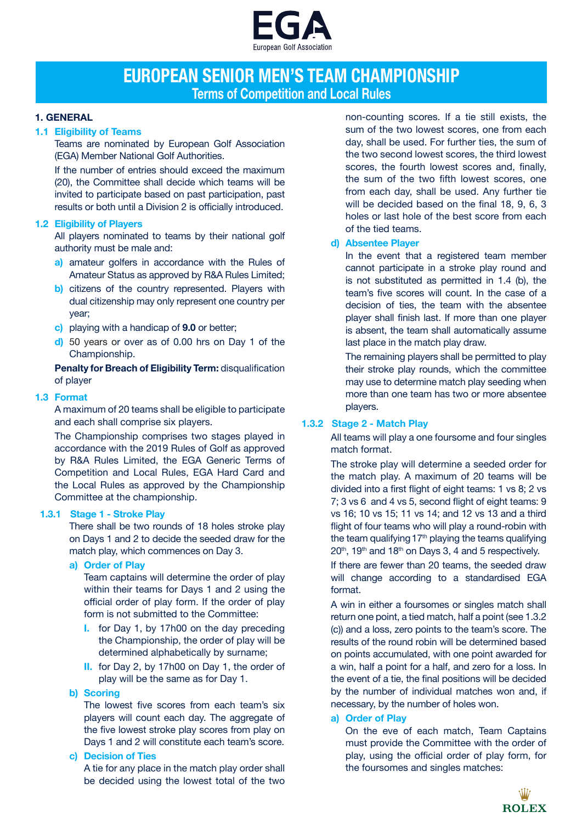

# **EUROPEAN SENIOR MEN'S TEAM CHAMPIONSHIP Terms of Competition and Local Rules**

# **1. GENERAL**

## **1.1 Eligibility of Teams**

Teams are nominated by European Golf Association (EGA) Member National Golf Authorities.

If the number of entries should exceed the maximum (20), the Committee shall decide which teams will be invited to participate based on past participation, past results or both until a Division 2 is officially introduced.

### **1.2 Eligibility of Players**

All players nominated to teams by their national golf authority must be male and:

- **a)** amateur golfers in accordance with the Rules of Amateur Status as approved by R&A Rules Limited;
- **b)** citizens of the country represented. Players with dual citizenship may only represent one country per year;
- **c)** playing with a handicap of **9.0** or better;
- **d)** 50 years or over as of 0.00 hrs on Day 1 of the Championship.

**Penalty for Breach of Eligibility Term:** disqualification of player

### **1.3 Format**

A maximum of 20 teams shall be eligible to participate and each shall comprise six players.

The Championship comprises two stages played in accordance with the 2019 Rules of Golf as approved by R&A Rules Limited, the EGA Generic Terms of Competition and Local Rules, EGA Hard Card and the Local Rules as approved by the Championship Committee at the championship.

# **1.3.1 Stage 1 - Stroke Play**

There shall be two rounds of 18 holes stroke play on Days 1 and 2 to decide the seeded draw for the match play, which commences on Day 3.

**a) Order of Play**

Team captains will determine the order of play within their teams for Days 1 and 2 using the official order of play form. If the order of play form is not submitted to the Committee:

- **I.** for Day 1, by 17h00 on the day preceding the Championship, the order of play will be determined alphabetically by surname;
- **II.** for Day 2, by 17h00 on Day 1, the order of play will be the same as for Day 1.

#### **b) Scoring**

The lowest five scores from each team's six players will count each day. The aggregate of the five lowest stroke play scores from play on Days 1 and 2 will constitute each team's score.

**c) Decision of Ties**

A tie for any place in the match play order shall be decided using the lowest total of the two

non-counting scores. If a tie still exists, the sum of the two lowest scores, one from each day, shall be used. For further ties, the sum of the two second lowest scores, the third lowest scores, the fourth lowest scores and, finally, the sum of the two fifth lowest scores, one from each day, shall be used. Any further tie will be decided based on the final 18, 9, 6, 3 holes or last hole of the best score from each of the tied teams.

# **d) Absentee Player**

In the event that a registered team member cannot participate in a stroke play round and is not substituted as permitted in 1.4 (b), the team's five scores will count. In the case of a decision of ties, the team with the absentee player shall finish last. If more than one player is absent, the team shall automatically assume last place in the match play draw.

The remaining players shall be permitted to play their stroke play rounds, which the committee may use to determine match play seeding when more than one team has two or more absentee players.

# **1.3.2 Stage 2 - Match Play**

 All teams will play a one foursome and four singles match format.

The stroke play will determine a seeded order for the match play. A maximum of 20 teams will be divided into a first flight of eight teams: 1 vs 8; 2 vs 7; 3 vs 6 and 4 vs 5, second flight of eight teams: 9 vs 16; 10 vs 15; 11 vs 14; and 12 vs 13 and a third flight of four teams who will play a round-robin with the team qualifying 17<sup>th</sup> playing the teams qualifying  $20<sup>th</sup>$ , 19<sup>th</sup> and 18<sup>th</sup> on Days 3, 4 and 5 respectively.

If there are fewer than 20 teams, the seeded draw will change according to a standardised EGA format.

A win in either a foursomes or singles match shall return one point, a tied match, half a point (see 1.3.2 (c)) and a loss, zero points to the team's score. The results of the round robin will be determined based on points accumulated, with one point awarded for a win, half a point for a half, and zero for a loss. In the event of a tie, the final positions will be decided by the number of individual matches won and, if necessary, by the number of holes won.

# **a) Order of Play**

On the eve of each match, Team Captains must provide the Committee with the order of play, using the official order of play form, for the foursomes and singles matches: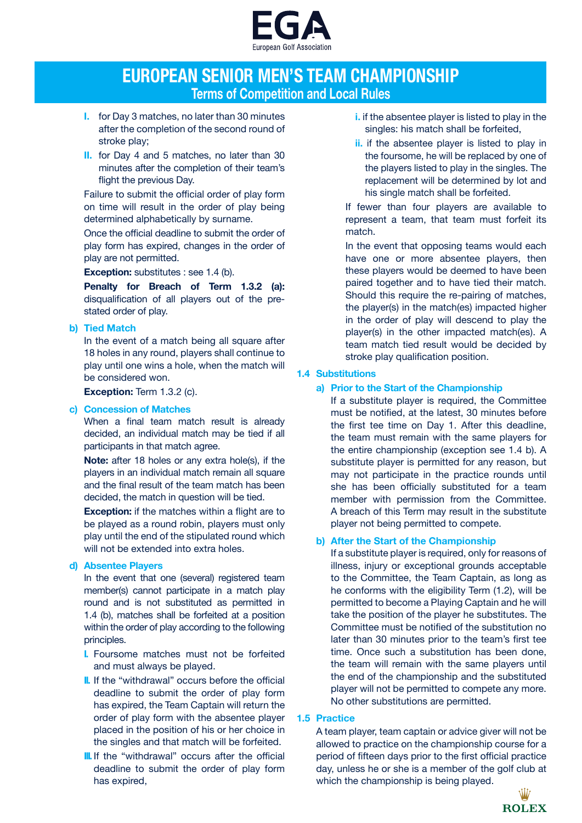

# **EUROPEAN SENIOR MEN'S TEAM CHAMPIONSHIP Terms of Competition and Local Rules**

- **I.** for Day 3 matches, no later than 30 minutes after the completion of the second round of stroke play;
- **II.** for Day 4 and 5 matches, no later than 30 minutes after the completion of their team's flight the previous Day.

Failure to submit the official order of play form on time will result in the order of play being determined alphabetically by surname.

Once the official deadline to submit the order of play form has expired, changes in the order of play are not permitted.

**Exception:** substitutes : see 1.4 (b).

**Penalty for Breach of Term 1.3.2 (a):**  disqualification of all players out of the prestated order of play.

# **b) Tied Match**

In the event of a match being all square after 18 holes in any round, players shall continue to play until one wins a hole, when the match will be considered won.

**Exception:** Term 1.3.2 (c).

## **c) Concession of Matches**

When a final team match result is already decided, an individual match may be tied if all participants in that match agree.

**Note:** after 18 holes or any extra hole(s), if the players in an individual match remain all square and the final result of the team match has been decided, the match in question will be tied.

**Exception:** if the matches within a flight are to be played as a round robin, players must only play until the end of the stipulated round which will not be extended into extra holes.

# **d) Absentee Players**

In the event that one (several) registered team member(s) cannot participate in a match play round and is not substituted as permitted in 1.4 (b), matches shall be forfeited at a position within the order of play according to the following principles.

- **I.** Foursome matches must not be forfeited and must always be played.
- **II.** If the "withdrawal" occurs before the official deadline to submit the order of play form has expired, the Team Captain will return the order of play form with the absentee player placed in the position of his or her choice in the singles and that match will be forfeited.
- **III.** If the "withdrawal" occurs after the official deadline to submit the order of play form has expired,
- **i.** if the absentee player is listed to play in the singles: his match shall be forfeited,
- **ii.** if the absentee player is listed to play in the foursome, he will be replaced by one of the players listed to play in the singles. The replacement will be determined by lot and his single match shall be forfeited.

If fewer than four players are available to represent a team, that team must forfeit its match.

In the event that opposing teams would each have one or more absentee players, then these players would be deemed to have been paired together and to have tied their match. Should this require the re‐pairing of matches, the player(s) in the match(es) impacted higher in the order of play will descend to play the player(s) in the other impacted match(es). A team match tied result would be decided by stroke play qualification position.

# **1.4 Substitutions**

# **a) Prior to the Start of the Championship**

If a substitute player is required, the Committee must be notified, at the latest, 30 minutes before the first tee time on Day 1. After this deadline, the team must remain with the same players for the entire championship (exception see 1.4 b). A substitute player is permitted for any reason, but may not participate in the practice rounds until she has been officially substituted for a team member with permission from the Committee. A breach of this Term may result in the substitute player not being permitted to compete.

# **b) After the Start of the Championship**

If a substitute player is required, only for reasons of illness, injury or exceptional grounds acceptable to the Committee, the Team Captain, as long as he conforms with the eligibility Term (1.2), will be permitted to become a Playing Captain and he will take the position of the player he substitutes. The Committee must be notified of the substitution no later than 30 minutes prior to the team's first tee time. Once such a substitution has been done, the team will remain with the same players until the end of the championship and the substituted player will not be permitted to compete any more. No other substitutions are permitted.

# **1.5 Practice**

A team player, team captain or advice giver will not be allowed to practice on the championship course for a period of fifteen days prior to the first official practice day, unless he or she is a member of the golf club at which the championship is being played.